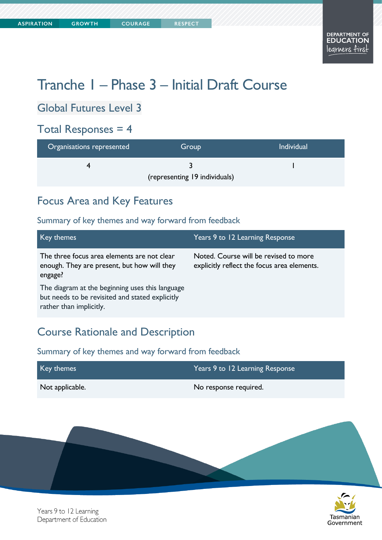# Tranche 1 – Phase 3 – Initial Draft Course

### Global Futures Level 3

### Total Responses = 4

| Organisations represented     | <b>Group</b> | <b>Individual</b> |
|-------------------------------|--------------|-------------------|
|                               |              |                   |
| (representing 19 individuals) |              |                   |

#### Focus Area and Key Features

#### Summary of key themes and way forward from feedback

| Key themes                                                                                                                    | Years 9 to 12 Learning Response                                                      |
|-------------------------------------------------------------------------------------------------------------------------------|--------------------------------------------------------------------------------------|
| The three focus area elements are not clear<br>enough. They are present, but how will they<br>engage?                         | Noted. Course will be revised to more<br>explicitly reflect the focus area elements. |
| The diagram at the beginning uses this language<br>but needs to be revisited and stated explicitly<br>rather than implicitly. |                                                                                      |

#### Course Rationale and Description

Summary of key themes and way forward from feedback

| Key themes      | Years 9 to 12 Learning Response |
|-----------------|---------------------------------|
| Not applicable. | No response required.           |



Years 9 to 12 Learning Department of Education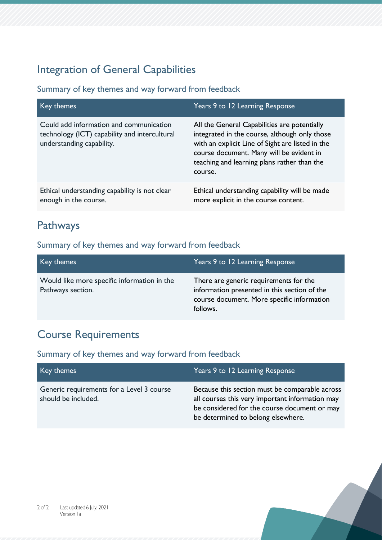### Integration of General Capabilities

#### Summary of key themes and way forward from feedback

| Key themes                                                                                                            | Years 9 to 12 Learning Response                                                                                                                                                                                                                         |
|-----------------------------------------------------------------------------------------------------------------------|---------------------------------------------------------------------------------------------------------------------------------------------------------------------------------------------------------------------------------------------------------|
| Could add information and communication<br>technology (ICT) capability and intercultural<br>understanding capability. | All the General Capabilities are potentially<br>integrated in the course, although only those<br>with an explicit Line of Sight are listed in the<br>course document. Many will be evident in<br>teaching and learning plans rather than the<br>course. |
| Ethical understanding capability is not clear<br>enough in the course.                                                | Ethical understanding capability will be made<br>more explicit in the course content.                                                                                                                                                                   |

### Pathways

#### Summary of key themes and way forward from feedback

| Key themes                                                       | Years 9 to 12 Learning Response                                                                                                                  |
|------------------------------------------------------------------|--------------------------------------------------------------------------------------------------------------------------------------------------|
| Would like more specific information in the<br>Pathways section. | There are generic requirements for the<br>information presented in this section of the<br>course document. More specific information<br>follows. |

#### Course Requirements

| Key themes                                                       | Years 9 to 12 Learning Response                                                                                                                                                         |
|------------------------------------------------------------------|-----------------------------------------------------------------------------------------------------------------------------------------------------------------------------------------|
| Generic requirements for a Level 3 course<br>should be included. | Because this section must be comparable across<br>all courses this very important information may<br>be considered for the course document or may<br>be determined to belong elsewhere. |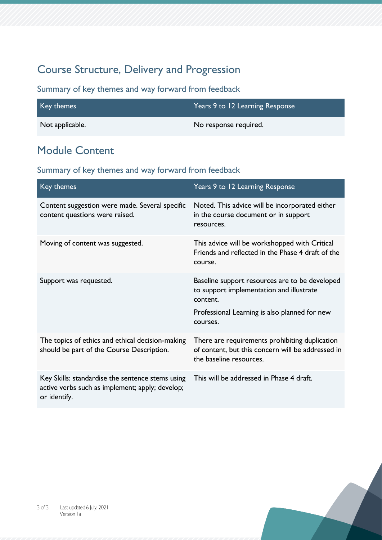# Course Structure, Delivery and Progression

#### Summary of key themes and way forward from feedback

| Key themes      | Years 9 to 12 Learning Response |
|-----------------|---------------------------------|
| Not applicable. | No response required.           |

### Module Content

| Key themes                                                                                                          | Years 9 to 12 Learning Response                                                                                                                                     |
|---------------------------------------------------------------------------------------------------------------------|---------------------------------------------------------------------------------------------------------------------------------------------------------------------|
| Content suggestion were made. Several specific<br>content questions were raised.                                    | Noted. This advice will be incorporated either<br>in the course document or in support<br>resources.                                                                |
| Moving of content was suggested.                                                                                    | This advice will be workshopped with Critical<br>Friends and reflected in the Phase 4 draft of the<br>course.                                                       |
| Support was requested.                                                                                              | Baseline support resources are to be developed<br>to support implementation and illustrate<br>content.<br>Professional Learning is also planned for new<br>courses. |
| The topics of ethics and ethical decision-making<br>should be part of the Course Description.                       | There are requirements prohibiting duplication<br>of content, but this concern will be addressed in<br>the baseline resources.                                      |
| Key Skills: standardise the sentence stems using<br>active verbs such as implement; apply; develop;<br>or identify. | This will be addressed in Phase 4 draft.                                                                                                                            |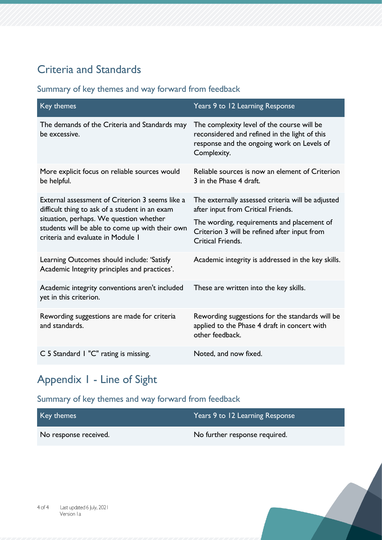# Criteria and Standards

#### Summary of key themes and way forward from feedback

| Key themes                                                                                                                                                                                                                           | Years 9 to 12 Learning Response                                                                                                                                                                            |
|--------------------------------------------------------------------------------------------------------------------------------------------------------------------------------------------------------------------------------------|------------------------------------------------------------------------------------------------------------------------------------------------------------------------------------------------------------|
| The demands of the Criteria and Standards may<br>be excessive.                                                                                                                                                                       | The complexity level of the course will be<br>reconsidered and refined in the light of this<br>response and the ongoing work on Levels of<br>Complexity.                                                   |
| More explicit focus on reliable sources would<br>be helpful.                                                                                                                                                                         | Reliable sources is now an element of Criterion<br>3 in the Phase 4 draft.                                                                                                                                 |
| External assessment of Criterion 3 seems like a<br>difficult thing to ask of a student in an exam<br>situation, perhaps. We question whether<br>students will be able to come up with their own<br>criteria and evaluate in Module 1 | The externally assessed criteria will be adjusted<br>after input from Critical Friends.<br>The wording, requirements and placement of<br>Criterion 3 will be refined after input from<br>Critical Friends. |
| Learning Outcomes should include: 'Satisfy<br>Academic Integrity principles and practices'.                                                                                                                                          | Academic integrity is addressed in the key skills.                                                                                                                                                         |
| Academic integrity conventions aren't included<br>yet in this criterion.                                                                                                                                                             | These are written into the key skills.                                                                                                                                                                     |
| Rewording suggestions are made for criteria<br>and standards.                                                                                                                                                                        | Rewording suggestions for the standards will be<br>applied to the Phase 4 draft in concert with<br>other feedback.                                                                                         |
| C 5 Standard 1 "C" rating is missing.                                                                                                                                                                                                | Noted, and now fixed.                                                                                                                                                                                      |

# Appendix 1 - Line of Sight

| Key themes            | Years 9 to 12 Learning Response |
|-----------------------|---------------------------------|
| No response received. | No further response required.   |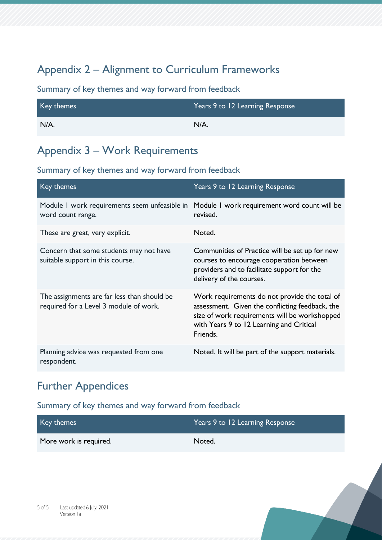### Appendix 2 – Alignment to Curriculum Frameworks

#### Summary of key themes and way forward from feedback

| Key themes | Years 9 to 12 Learning Response |
|------------|---------------------------------|
| $N/A$ .    | $N/A$ .                         |

#### Appendix 3 – Work Requirements

#### Summary of key themes and way forward from feedback

| Key themes                                                                            | Years 9 to 12 Learning Response                                                                                                                                                                           |
|---------------------------------------------------------------------------------------|-----------------------------------------------------------------------------------------------------------------------------------------------------------------------------------------------------------|
| Module I work requirements seem unfeasible in<br>word count range.                    | Module I work requirement word count will be<br>revised.                                                                                                                                                  |
| These are great, very explicit.                                                       | Noted.                                                                                                                                                                                                    |
| Concern that some students may not have<br>suitable support in this course.           | Communities of Practice will be set up for new<br>courses to encourage cooperation between<br>providers and to facilitate support for the<br>delivery of the courses.                                     |
| The assignments are far less than should be<br>required for a Level 3 module of work. | Work requirements do not provide the total of<br>assessment. Given the conflicting feedback, the<br>size of work requirements will be workshopped<br>with Years 9 to 12 Learning and Critical<br>Friends. |
| Planning advice was requested from one<br>respondent.                                 | Noted. It will be part of the support materials.                                                                                                                                                          |

### Further Appendices

| Key themes             | Years 9 to 12 Learning Response |
|------------------------|---------------------------------|
| More work is required. | Noted.                          |